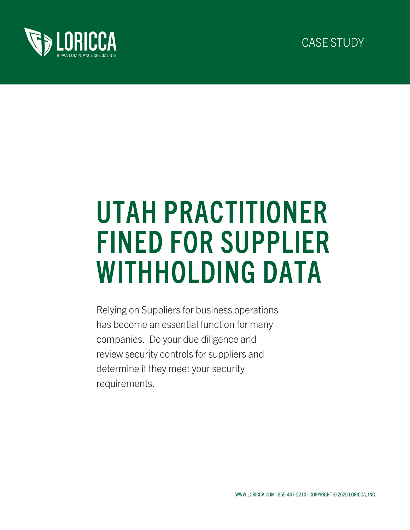



# UTAH PRACTITIONER FINED FOR SUPPLIER WITHHOLDING DATA

Relying on Suppliers for business operations has become an essential function for many companies. Do your due diligence and review security controls for suppliers and determine if they meet your security requirements.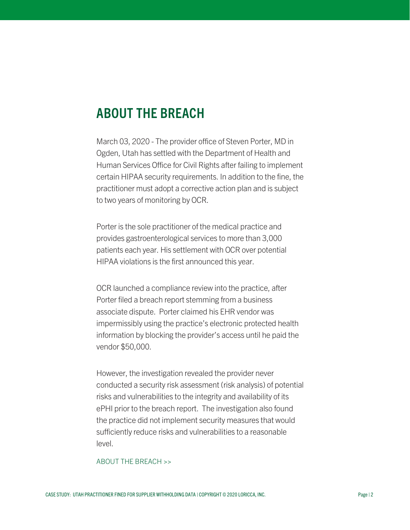### ABOUT THE BREACH

March 03, 2020 - The provider office of Steven Porter, MD in Ogden, Utah has settled with the Department of Health and Human Services Office for Civil Rights after failing to implement certain HIPAA security requirements. In addition to the fine, the practitioner must adopt a corrective action plan and is subject to two years of monitoring by OCR.

Porter is the sole practitioner of the medical practice and provides gastroenterological services to more than 3,000 patients each year. His settlement with OCR over potential HIPAA violations is the first announced this year.

OCR launched a compliance review into the practice, after Porter filed a breach report stemming from a business associate dispute. Porter claimed his EHR vendor was impermissibly using the practice's electronic protected health information by blocking the provider's access until he paid the vendor \$50,000.

However, the investigation revealed the provider never conducted a security risk assessment (risk analysis) of potential risks and vulnerabilities to the integrity and availability of its ePHI prior to the breach report. The investigation also found the practice did not implement security measures that would sufficiently reduce risks and vulnerabilities to a reasonable level.

#### ABOUT THE BREACH >>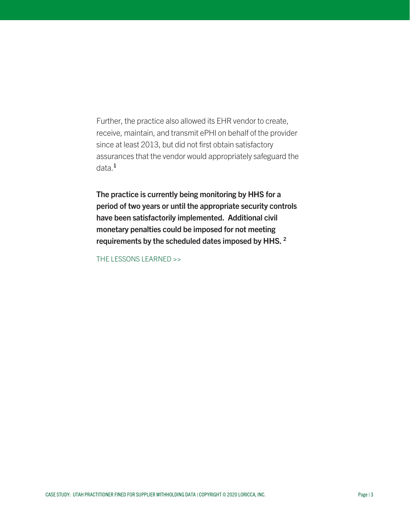Further, the practice also allowed its EHR vendor to create, receive, maintain, and transmit ePHI on behalf of the provider since at least 2013, but did not first obtain satisfactory assurances that the vendor would appropriately safeguard the data.<sup>1</sup>

The practice is currently being monitoring by HHS for a period of two years or until the appropriate security controls have been satisfactorily implemented. Additional civil monetary penalties could be imposed for not meeting requirements by the scheduled dates imposed by HHS. 2

THE LESSONS LEARNED >>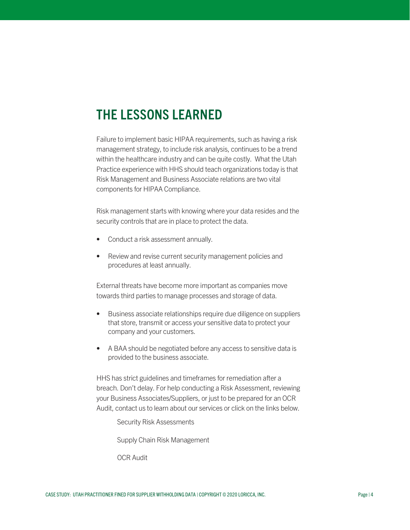## THE LESSONS LEARNED

Failure to implement basic HIPAA requirements, such as having a risk management strategy, to include risk analysis, continues to be a trend within the healthcare industry and can be quite costly. What the Utah Practice experience with HHS should teach organizations today is that Risk Management and Business Associate relations are two vital components for HIPAA Compliance.

Risk management starts with knowing where your data resides and the security controls that are in place to protect the data.

- Conduct a risk assessment annually.
- Review and revise current security management policies and procedures at least annually.

External threats have become more important as companies move towards third parties to manage processes and storage of data.

- Business associate relationships require due diligence on suppliers that store, transmit or access your sensitive data to protect your company and your customers.
- A BAA should be negotiated before any access to sensitive data is provided to the business associate.

HHS has strict guidelines and timeframes for remediation after a breach. Don't delay. For help conducting a Risk Assessment, reviewing your Business Associates/Suppliers, or just to be prepared for an OCR Audit, contact us to learn about our services or click on the links below.

[Security Risk Assessments](https://loricca.com/security-risk-assessment/)

[Supply Chain Risk Management](https://loricca.com/cscrm/)

[OCR Audit](https://loricca.com/ocr-audit-readiness/)